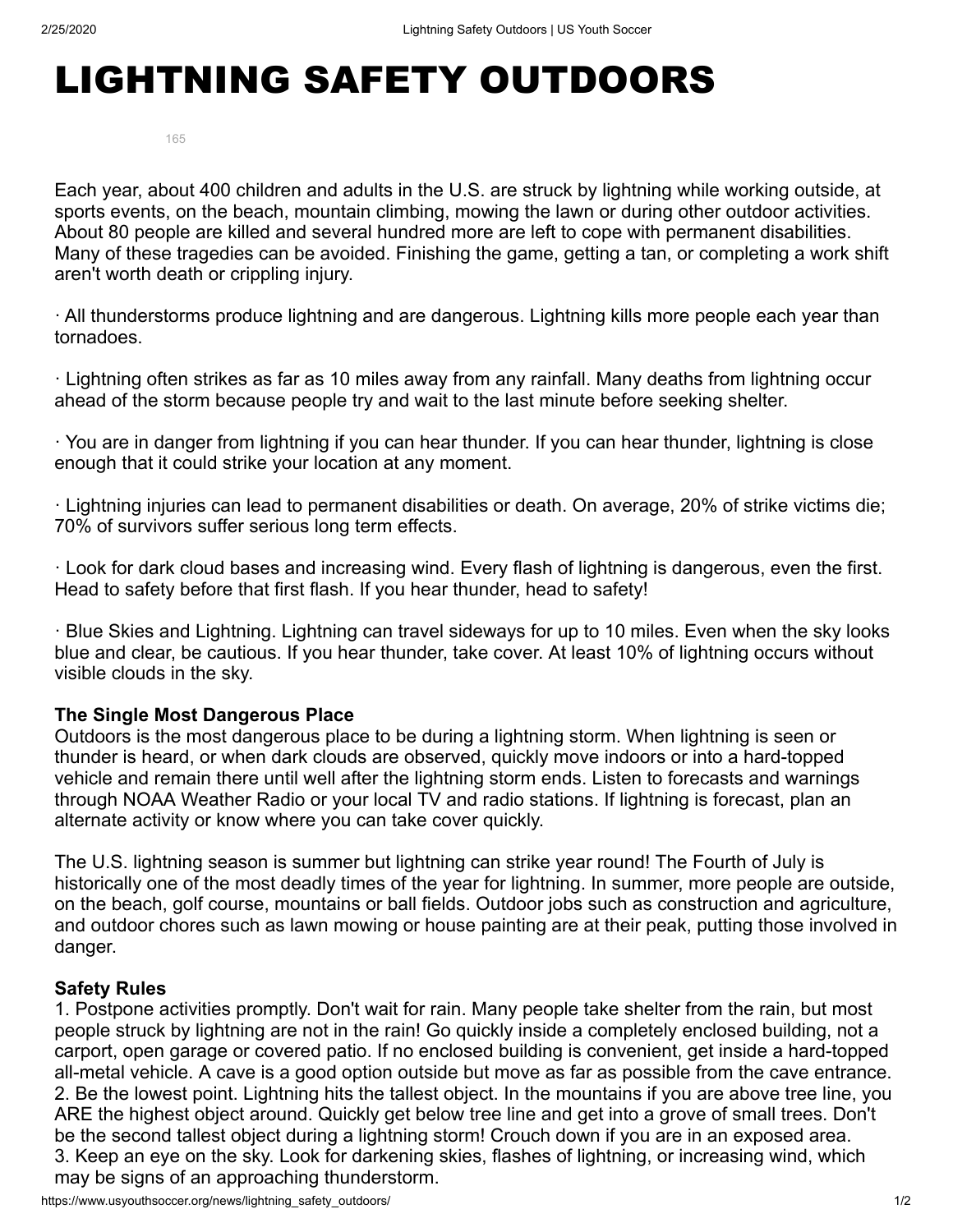# LIGHTNING SAFETY OUTDOORS

165

Each year, about 400 children and adults in the U.S. are struck by lightning while working outside, at sports events, on the beach, mountain climbing, mowing the lawn or during other outdoor activities. About 80 people are killed and several hundred more are left to cope with permanent disabilities. Many of these tragedies can be avoided. Finishing the game, getting a tan, or completing a work shift aren't worth death or crippling injury.

· All thunderstorms produce lightning and are dangerous. Lightning kills more people each year than tornadoes.

· Lightning often strikes as far as 10 miles away from any rainfall. Many deaths from lightning occur ahead of the storm because people try and wait to the last minute before seeking shelter.

· You are in danger from lightning if you can hear thunder. If you can hear thunder, lightning is close enough that it could strike your location at any moment.

· Lightning injuries can lead to permanent disabilities or death. On average, 20% of strike victims die; 70% of survivors suffer serious long term effects.

· Look for dark cloud bases and increasing wind. Every flash of lightning is dangerous, even the first. Head to safety before that first flash. If you hear thunder, head to safety!

· Blue Skies and Lightning. Lightning can travel sideways for up to 10 miles. Even when the sky looks blue and clear, be cautious. If you hear thunder, take cover. At least 10% of lightning occurs without visible clouds in the sky.

### **The Single Most Dangerous Place**

Outdoors is the most dangerous place to be during a lightning storm. When lightning is seen or thunder is heard, or when dark clouds are observed, quickly move indoors or into a hard-topped vehicle and remain there until well after the lightning storm ends. Listen to forecasts and warnings through NOAA Weather Radio or your local TV and radio stations. If lightning is forecast, plan an alternate activity or know where you can take cover quickly.

The U.S. lightning season is summer but lightning can strike year round! The Fourth of July is historically one of the most deadly times of the year for lightning. In summer, more people are outside, on the beach, golf course, mountains or ball fields. Outdoor jobs such as construction and agriculture, and outdoor chores such as lawn mowing or house painting are at their peak, putting those involved in danger.

### **Safety Rules**

1. Postpone activities promptly. Don't wait for rain. Many people take shelter from the rain, but most people struck by lightning are not in the rain! Go quickly inside a completely enclosed building, not a carport, open garage or covered patio. If no enclosed building is convenient, get inside a hard-topped all-metal vehicle. A cave is a good option outside but move as far as possible from the cave entrance. 2. Be the lowest point. Lightning hits the tallest object. In the mountains if you are above tree line, you ARE the highest object around. Quickly get below tree line and get into a grove of small trees. Don't be the second tallest object during a lightning storm! Crouch down if you are in an exposed area. 3. Keep an eye on the sky. Look for darkening skies, flashes of lightning, or increasing wind, which may be signs of an approaching thunderstorm.